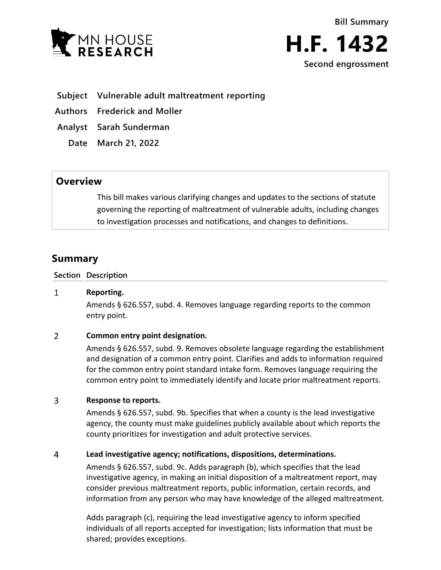



- **Subject Vulnerable adult maltreatment reporting**
- **Authors Frederick and Moller**
- **Analyst Sarah Sunderman**
	- **Date March 21, 2022**

## **Overview**

This bill makes various clarifying changes and updates to the sections of statute governing the reporting of maltreatment of vulnerable adults, including changes to investigation processes and notifications, and changes to definitions.

# **Summary**

**Section Description**

#### $\mathbf{1}$ **Reporting.**

Amends § 626.557, subd. 4. Removes language regarding reports to the common entry point.

#### $\overline{2}$ **Common entry point designation.**

Amends § 626.557, subd. 9. Removes obsolete language regarding the establishment and designation of a common entry point. Clarifies and adds to information required for the common entry point standard intake form. Removes language requiring the common entry point to immediately identify and locate prior maltreatment reports.

#### 3 **Response to reports.**

Amends § 626.557, subd. 9b. Specifies that when a county is the lead investigative agency, the county must make guidelines publicly available about which reports the county prioritizes for investigation and adult protective services.

#### $\overline{4}$ **Lead investigative agency; notifications, dispositions, determinations.**

Amends § 626.557, subd. 9c. Adds paragraph (b), which specifies that the lead investigative agency, in making an initial disposition of a maltreatment report, may consider previous maltreatment reports, public information, certain records, and information from any person who may have knowledge of the alleged maltreatment.

Adds paragraph (c), requiring the lead investigative agency to inform specified individuals of all reports accepted for investigation; lists information that must be shared; provides exceptions.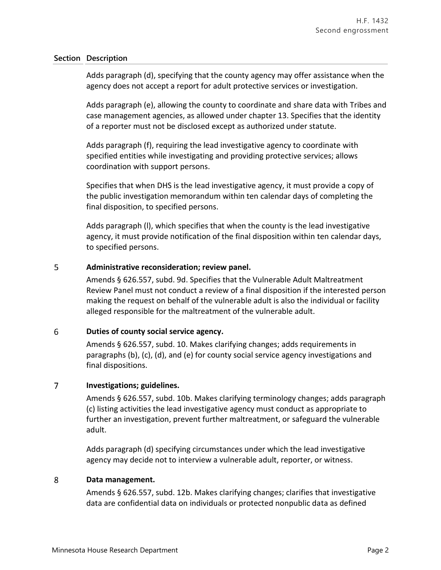### **Section Description**

Adds paragraph (d), specifying that the county agency may offer assistance when the agency does not accept a report for adult protective services or investigation.

Adds paragraph (e), allowing the county to coordinate and share data with Tribes and case management agencies, as allowed under chapter 13. Specifies that the identity of a reporter must not be disclosed except as authorized under statute.

Adds paragraph (f), requiring the lead investigative agency to coordinate with specified entities while investigating and providing protective services; allows coordination with support persons.

Specifies that when DHS is the lead investigative agency, it must provide a copy of the public investigation memorandum within ten calendar days of completing the final disposition, to specified persons.

Adds paragraph (l), which specifies that when the county is the lead investigative agency, it must provide notification of the final disposition within ten calendar days, to specified persons.

#### 5 **Administrative reconsideration; review panel.**

Amends § 626.557, subd. 9d. Specifies that the Vulnerable Adult Maltreatment Review Panel must not conduct a review of a final disposition if the interested person making the request on behalf of the vulnerable adult is also the individual or facility alleged responsible for the maltreatment of the vulnerable adult.

#### 6 **Duties of county social service agency.**

Amends § 626.557, subd. 10. Makes clarifying changes; adds requirements in paragraphs (b), (c), (d), and (e) for county social service agency investigations and final dispositions.

#### $\overline{7}$ **Investigations; guidelines.**

Amends § 626.557, subd. 10b. Makes clarifying terminology changes; adds paragraph (c) listing activities the lead investigative agency must conduct as appropriate to further an investigation, prevent further maltreatment, or safeguard the vulnerable adult.

Adds paragraph (d) specifying circumstances under which the lead investigative agency may decide not to interview a vulnerable adult, reporter, or witness.

#### 8 **Data management.**

Amends § 626.557, subd. 12b. Makes clarifying changes; clarifies that investigative data are confidential data on individuals or protected nonpublic data as defined